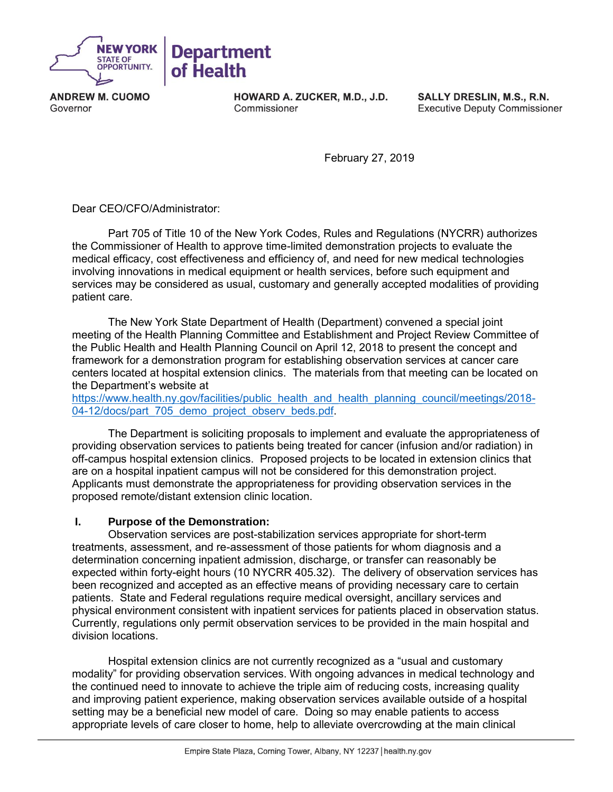

**ANDREW M. CUOMO** Governor

HOWARD A. ZUCKER, M.D., J.D. Commissioner

SALLY DRESLIN, M.S., R.N. **Executive Deputy Commissioner** 

February 27, 2019

Dear CEO/CFO/Administrator:

Part 705 of Title 10 of the New York Codes, Rules and Regulations (NYCRR) authorizes the Commissioner of Health to approve time-limited demonstration projects to evaluate the medical efficacy, cost effectiveness and efficiency of, and need for new medical technologies involving innovations in medical equipment or health services, before such equipment and services may be considered as usual, customary and generally accepted modalities of providing patient care.

The New York State Department of Health (Department) convened a special joint meeting of the Health Planning Committee and Establishment and Project Review Committee of the Public Health and Health Planning Council on April 12, 2018 to present the concept and framework for a demonstration program for establishing observation services at cancer care centers located at hospital extension clinics. The materials from that meeting can be located on the Department's website at

[https://www.health.ny.gov/facilities/public\\_health\\_and\\_health\\_planning\\_council/meetings/2018-](https://www.health.ny.gov/facilities/public_health_and_health_planning_council/meetings/2018-04-12/docs/part_705_demo_project_observ_beds.pdf) [04-12/docs/part\\_705\\_demo\\_project\\_observ\\_beds.pdf.](https://www.health.ny.gov/facilities/public_health_and_health_planning_council/meetings/2018-04-12/docs/part_705_demo_project_observ_beds.pdf)

The Department is soliciting proposals to implement and evaluate the appropriateness of providing observation services to patients being treated for cancer (infusion and/or radiation) in off-campus hospital extension clinics. Proposed projects to be located in extension clinics that are on a hospital inpatient campus will not be considered for this demonstration project. Applicants must demonstrate the appropriateness for providing observation services in the proposed remote/distant extension clinic location.

#### **I. Purpose of the Demonstration:**

Observation services are post-stabilization services appropriate for short-term treatments, assessment, and re-assessment of those patients for whom diagnosis and a determination concerning inpatient admission, discharge, or transfer can reasonably be expected within forty-eight hours (10 NYCRR 405.32). The delivery of observation services has been recognized and accepted as an effective means of providing necessary care to certain patients. State and Federal regulations require medical oversight, ancillary services and physical environment consistent with inpatient services for patients placed in observation status. Currently, regulations only permit observation services to be provided in the main hospital and division locations.

Hospital extension clinics are not currently recognized as a "usual and customary modality" for providing observation services. With ongoing advances in medical technology and the continued need to innovate to achieve the triple aim of reducing costs, increasing quality and improving patient experience, making observation services available outside of a hospital setting may be a beneficial new model of care. Doing so may enable patients to access appropriate levels of care closer to home, help to alleviate overcrowding at the main clinical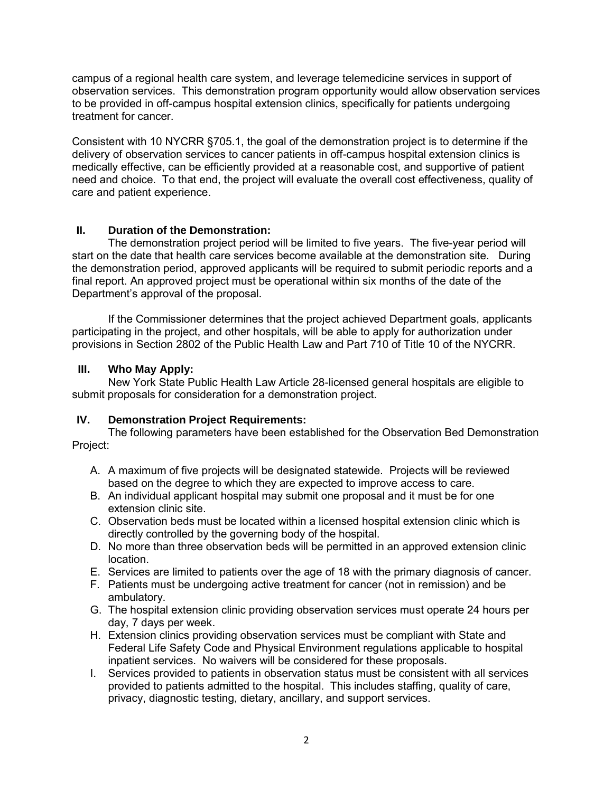campus of a regional health care system, and leverage telemedicine services in support of observation services. This demonstration program opportunity would allow observation services to be provided in off-campus hospital extension clinics, specifically for patients undergoing treatment for cancer.

Consistent with 10 NYCRR §705.1, the goal of the demonstration project is to determine if the delivery of observation services to cancer patients in off-campus hospital extension clinics is medically effective, can be efficiently provided at a reasonable cost, and supportive of patient need and choice. To that end, the project will evaluate the overall cost effectiveness, quality of care and patient experience.

### **II. Duration of the Demonstration:**

The demonstration project period will be limited to five years. The five-year period will start on the date that health care services become available at the demonstration site. During the demonstration period, approved applicants will be required to submit periodic reports and a final report. An approved project must be operational within six months of the date of the Department's approval of the proposal.

If the Commissioner determines that the project achieved Department goals, applicants participating in the project, and other hospitals, will be able to apply for authorization under provisions in Section 2802 of the Public Health Law and Part 710 of Title 10 of the NYCRR.

#### **III. Who May Apply:**

New York State Public Health Law Article 28-licensed general hospitals are eligible to submit proposals for consideration for a demonstration project.

## **IV. Demonstration Project Requirements:**

The following parameters have been established for the Observation Bed Demonstration Project:

- A. A maximum of five projects will be designated statewide. Projects will be reviewed based on the degree to which they are expected to improve access to care.
- B. An individual applicant hospital may submit one proposal and it must be for one extension clinic site.
- C. Observation beds must be located within a licensed hospital extension clinic which is directly controlled by the governing body of the hospital.
- D. No more than three observation beds will be permitted in an approved extension clinic location.
- E. Services are limited to patients over the age of 18 with the primary diagnosis of cancer.
- F. Patients must be undergoing active treatment for cancer (not in remission) and be ambulatory.
- G. The hospital extension clinic providing observation services must operate 24 hours per day, 7 days per week.
- H. Extension clinics providing observation services must be compliant with State and Federal Life Safety Code and Physical Environment regulations applicable to hospital inpatient services. No waivers will be considered for these proposals.
- I. Services provided to patients in observation status must be consistent with all services provided to patients admitted to the hospital. This includes staffing, quality of care, privacy, diagnostic testing, dietary, ancillary, and support services.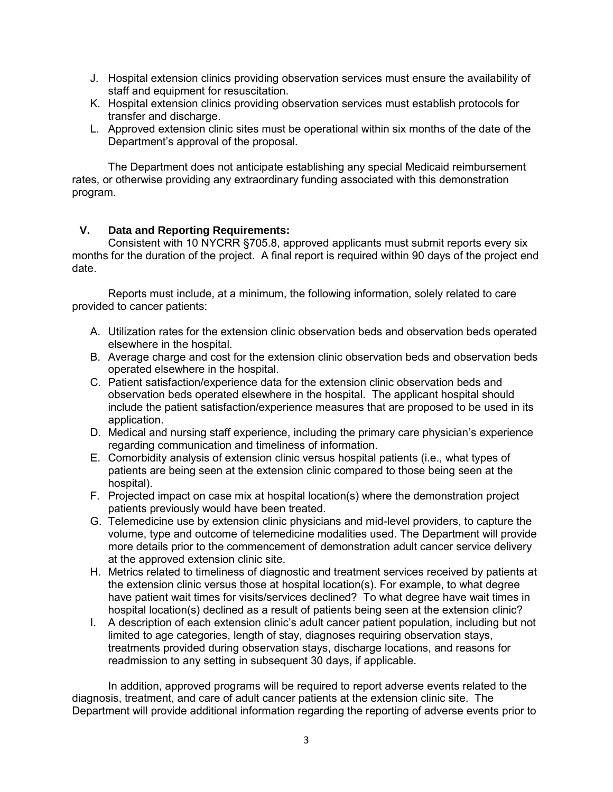- J. Hospital extension clinics providing observation services must ensure the availability of staff and equipment for resuscitation.
- K. Hospital extension clinics providing observation services must establish protocols for transfer and discharge.
- L. Approved extension clinic sites must be operational within six months of the date of the Department's approval of the proposal.

The Department does not anticipate establishing any special Medicaid reimbursement rates, or otherwise providing any extraordinary funding associated with this demonstration program.

#### **V. Data and Reporting Requirements:**

Consistent with 10 NYCRR §705.8, approved applicants must submit reports every six months for the duration of the project. A final report is required within 90 days of the project end date.

Reports must include, at a minimum, the following information, solely related to care provided to cancer patients:

- A. Utilization rates for the extension clinic observation beds and observation beds operated elsewhere in the hospital.
- B. Average charge and cost for the extension clinic observation beds and observation beds operated elsewhere in the hospital.
- C. Patient satisfaction/experience data for the extension clinic observation beds and observation beds operated elsewhere in the hospital. The applicant hospital should include the patient satisfaction/experience measures that are proposed to be used in its application.
- D. Medical and nursing staff experience, including the primary care physician's experience regarding communication and timeliness of information.
- E. Comorbidity analysis of extension clinic versus hospital patients (i.e., what types of patients are being seen at the extension clinic compared to those being seen at the hospital).
- F. Projected impact on case mix at hospital location(s) where the demonstration project patients previously would have been treated.
- G. Telemedicine use by extension clinic physicians and mid-level providers, to capture the volume, type and outcome of telemedicine modalities used. The Department will provide more details prior to the commencement of demonstration adult cancer service delivery at the approved extension clinic site.
- H. Metrics related to timeliness of diagnostic and treatment services received by patients at the extension clinic versus those at hospital location(s). For example, to what degree have patient wait times for visits/services declined? To what degree have wait times in hospital location(s) declined as a result of patients being seen at the extension clinic?
- I. A description of each extension clinic's adult cancer patient population, including but not limited to age categories, length of stay, diagnoses requiring observation stays, treatments provided during observation stays, discharge locations, and reasons for readmission to any setting in subsequent 30 days, if applicable.

In addition, approved programs will be required to report adverse events related to the diagnosis, treatment, and care of adult cancer patients at the extension clinic site. The Department will provide additional information regarding the reporting of adverse events prior to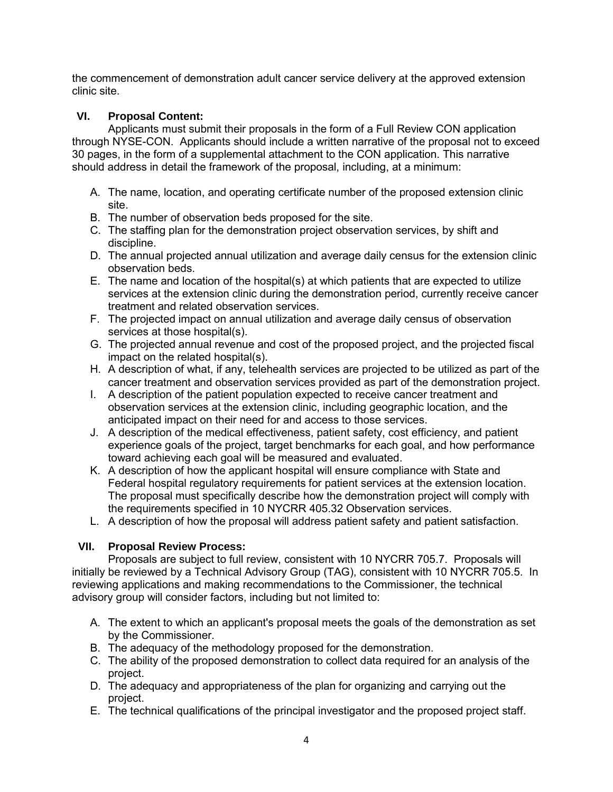the commencement of demonstration adult cancer service delivery at the approved extension clinic site.

## **VI. Proposal Content:**

Applicants must submit their proposals in the form of a Full Review CON application through NYSE-CON. Applicants should include a written narrative of the proposal not to exceed 30 pages, in the form of a supplemental attachment to the CON application. This narrative should address in detail the framework of the proposal, including, at a minimum:

- A. The name, location, and operating certificate number of the proposed extension clinic site.
- B. The number of observation beds proposed for the site.
- C. The staffing plan for the demonstration project observation services, by shift and discipline.
- D. The annual projected annual utilization and average daily census for the extension clinic observation beds.
- E. The name and location of the hospital(s) at which patients that are expected to utilize services at the extension clinic during the demonstration period, currently receive cancer treatment and related observation services.
- F. The projected impact on annual utilization and average daily census of observation services at those hospital(s).
- G. The projected annual revenue and cost of the proposed project, and the projected fiscal impact on the related hospital(s).
- H. A description of what, if any, telehealth services are projected to be utilized as part of the cancer treatment and observation services provided as part of the demonstration project.
- I. A description of the patient population expected to receive cancer treatment and observation services at the extension clinic, including geographic location, and the anticipated impact on their need for and access to those services.
- J. A description of the medical effectiveness, patient safety, cost efficiency, and patient experience goals of the project, target benchmarks for each goal, and how performance toward achieving each goal will be measured and evaluated.
- K. A description of how the applicant hospital will ensure compliance with State and Federal hospital regulatory requirements for patient services at the extension location. The proposal must specifically describe how the demonstration project will comply with the requirements specified in 10 NYCRR 405.32 Observation services.
- L. A description of how the proposal will address patient safety and patient satisfaction.

#### **VII. Proposal Review Process:**

Proposals are subject to full review, consistent with 10 NYCRR 705.7. Proposals will initially be reviewed by a Technical Advisory Group (TAG), consistent with 10 NYCRR 705.5. In reviewing applications and making recommendations to the Commissioner, the technical advisory group will consider factors, including but not limited to:

- A. The extent to which an applicant's proposal meets the goals of the demonstration as set by the Commissioner.
- B. The adequacy of the methodology proposed for the demonstration.
- C. The ability of the proposed demonstration to collect data required for an analysis of the project.
- D. The adequacy and appropriateness of the plan for organizing and carrying out the project.
- E. The technical qualifications of the principal investigator and the proposed project staff.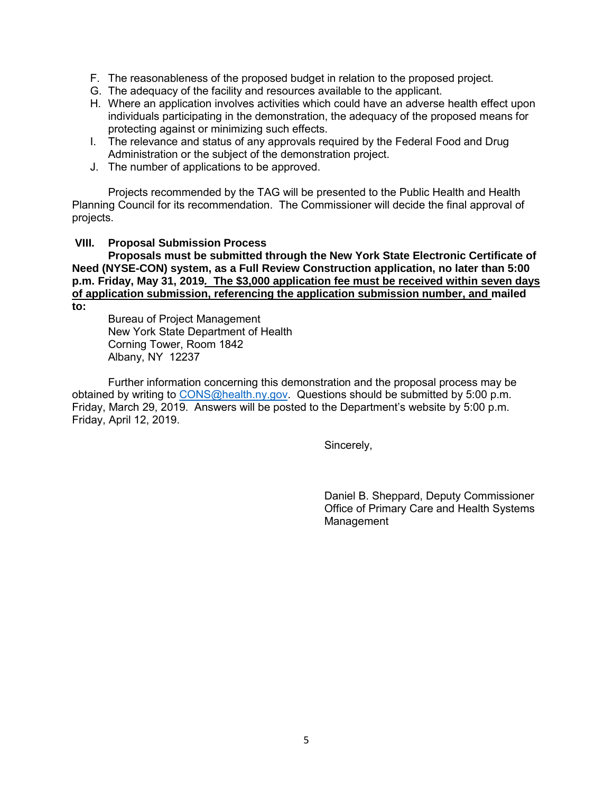- F. The reasonableness of the proposed budget in relation to the proposed project.
- G. The adequacy of the facility and resources available to the applicant.
- H. Where an application involves activities which could have an adverse health effect upon individuals participating in the demonstration, the adequacy of the proposed means for protecting against or minimizing such effects.
- I. The relevance and status of any approvals required by the Federal Food and Drug Administration or the subject of the demonstration project.
- J. The number of applications to be approved.

Projects recommended by the TAG will be presented to the Public Health and Health Planning Council for its recommendation. The Commissioner will decide the final approval of projects.

#### **VIII. Proposal Submission Process**

**Proposals must be submitted through the New York State Electronic Certificate of Need (NYSE-CON) system, as a Full Review Construction application, no later than 5:00 p.m. Friday, May 31, 2019***.* **The \$3,000 application fee must be received within seven days of application submission, referencing the application submission number, and mailed** 

**to:**

Bureau of Project Management New York State Department of Health Corning Tower, Room 1842 Albany, NY 12237

Further information concerning this demonstration and the proposal process may be obtained by writing to [CONS@health.ny.gov.](mailto:CONS@health.ny.gov) Questions should be submitted by 5:00 p.m. Friday, March 29, 2019. Answers will be posted to the Department's website by 5:00 p.m. Friday, April 12, 2019.

Sincerely,

Daniel B. Sheppard, Deputy Commissioner Office of Primary Care and Health Systems Management